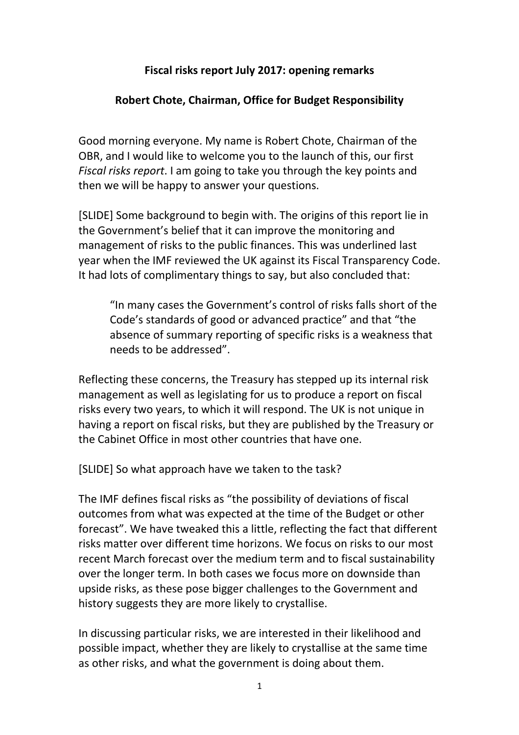## **Fiscal risks report July 2017: opening remarks**

## **Robert Chote, Chairman, Office for Budget Responsibility**

Good morning everyone. My name is Robert Chote, Chairman of the OBR, and I would like to welcome you to the launch of this, our first *Fiscal risks report*. I am going to take you through the key points and then we will be happy to answer your questions.

[SLIDE] Some background to begin with. The origins of this report lie in the Government's belief that it can improve the monitoring and management of risks to the public finances. This was underlined last year when the IMF reviewed the UK against its Fiscal Transparency Code. It had lots of complimentary things to say, but also concluded that:

"In many cases the Government's control of risks falls short of the Code's standards of good or advanced practice" and that "the absence of summary reporting of specific risks is a weakness that needs to be addressed".

Reflecting these concerns, the Treasury has stepped up its internal risk management as well as legislating for us to produce a report on fiscal risks every two years, to which it will respond. The UK is not unique in having a report on fiscal risks, but they are published by the Treasury or the Cabinet Office in most other countries that have one.

[SLIDE] So what approach have we taken to the task?

The IMF defines fiscal risks as "the possibility of deviations of fiscal outcomes from what was expected at the time of the Budget or other forecast". We have tweaked this a little, reflecting the fact that different risks matter over different time horizons. We focus on risks to our most recent March forecast over the medium term and to fiscal sustainability over the longer term. In both cases we focus more on downside than upside risks, as these pose bigger challenges to the Government and history suggests they are more likely to crystallise.

In discussing particular risks, we are interested in their likelihood and possible impact, whether they are likely to crystallise at the same time as other risks, and what the government is doing about them.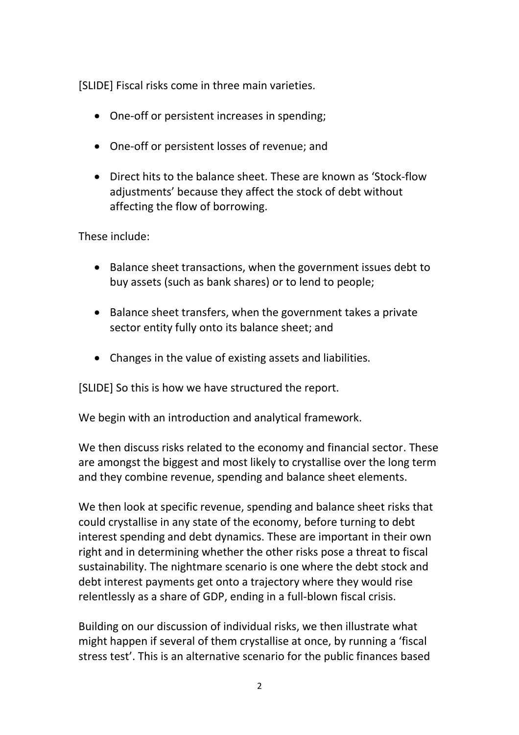[SLIDE] Fiscal risks come in three main varieties.

- One-off or persistent increases in spending;
- One-off or persistent losses of revenue; and
- Direct hits to the balance sheet. These are known as 'Stock-flow adjustments' because they affect the stock of debt without affecting the flow of borrowing.

These include:

- Balance sheet transactions, when the government issues debt to buy assets (such as bank shares) or to lend to people;
- Balance sheet transfers, when the government takes a private sector entity fully onto its balance sheet; and
- Changes in the value of existing assets and liabilities.

[SLIDE] So this is how we have structured the report.

We begin with an introduction and analytical framework.

We then discuss risks related to the economy and financial sector. These are amongst the biggest and most likely to crystallise over the long term and they combine revenue, spending and balance sheet elements.

We then look at specific revenue, spending and balance sheet risks that could crystallise in any state of the economy, before turning to debt interest spending and debt dynamics. These are important in their own right and in determining whether the other risks pose a threat to fiscal sustainability. The nightmare scenario is one where the debt stock and debt interest payments get onto a trajectory where they would rise relentlessly as a share of GDP, ending in a full-blown fiscal crisis.

Building on our discussion of individual risks, we then illustrate what might happen if several of them crystallise at once, by running a 'fiscal stress test'. This is an alternative scenario for the public finances based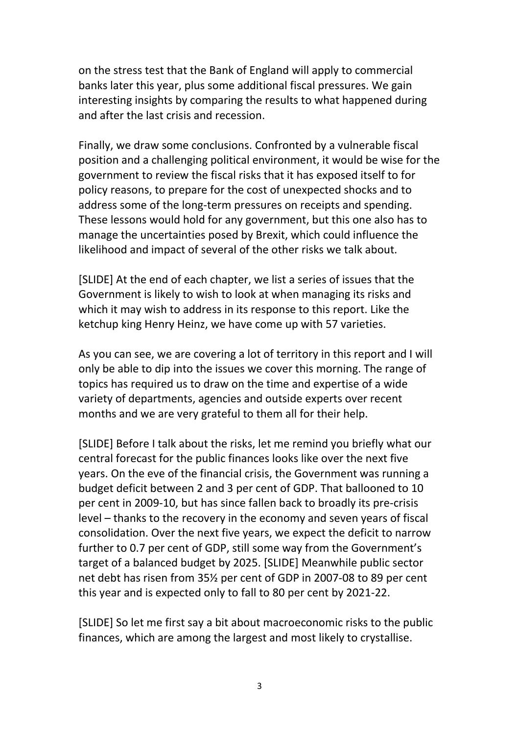on the stress test that the Bank of England will apply to commercial banks later this year, plus some additional fiscal pressures. We gain interesting insights by comparing the results to what happened during and after the last crisis and recession.

Finally, we draw some conclusions. Confronted by a vulnerable fiscal position and a challenging political environment, it would be wise for the government to review the fiscal risks that it has exposed itself to for policy reasons, to prepare for the cost of unexpected shocks and to address some of the long-term pressures on receipts and spending. These lessons would hold for any government, but this one also has to manage the uncertainties posed by Brexit, which could influence the likelihood and impact of several of the other risks we talk about.

[SLIDE] At the end of each chapter, we list a series of issues that the Government is likely to wish to look at when managing its risks and which it may wish to address in its response to this report. Like the ketchup king Henry Heinz, we have come up with 57 varieties.

As you can see, we are covering a lot of territory in this report and I will only be able to dip into the issues we cover this morning. The range of topics has required us to draw on the time and expertise of a wide variety of departments, agencies and outside experts over recent months and we are very grateful to them all for their help.

[SLIDE] Before I talk about the risks, let me remind you briefly what our central forecast for the public finances looks like over the next five years. On the eve of the financial crisis, the Government was running a budget deficit between 2 and 3 per cent of GDP. That ballooned to 10 per cent in 2009-10, but has since fallen back to broadly its pre-crisis level – thanks to the recovery in the economy and seven years of fiscal consolidation. Over the next five years, we expect the deficit to narrow further to 0.7 per cent of GDP, still some way from the Government's target of a balanced budget by 2025. [SLIDE] Meanwhile public sector net debt has risen from 35½ per cent of GDP in 2007-08 to 89 per cent this year and is expected only to fall to 80 per cent by 2021-22.

[SLIDE] So let me first say a bit about macroeconomic risks to the public finances, which are among the largest and most likely to crystallise.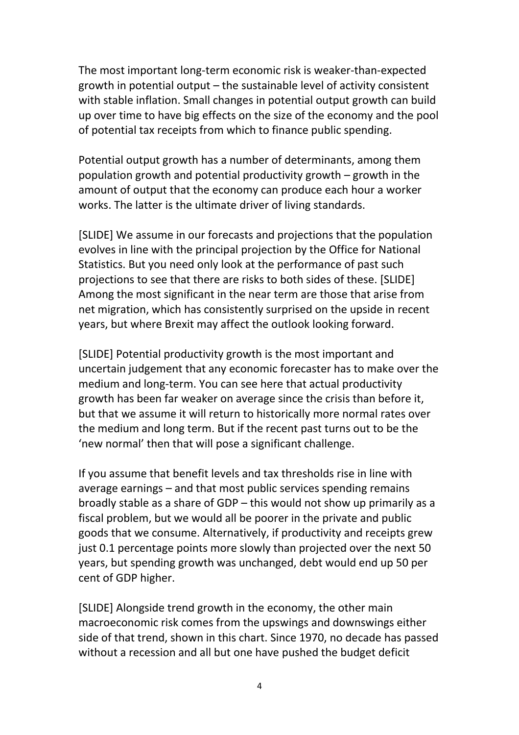The most important long-term economic risk is weaker-than-expected growth in potential output – the sustainable level of activity consistent with stable inflation. Small changes in potential output growth can build up over time to have big effects on the size of the economy and the pool of potential tax receipts from which to finance public spending.

Potential output growth has a number of determinants, among them population growth and potential productivity growth – growth in the amount of output that the economy can produce each hour a worker works. The latter is the ultimate driver of living standards.

[SLIDE] We assume in our forecasts and projections that the population evolves in line with the principal projection by the Office for National Statistics. But you need only look at the performance of past such projections to see that there are risks to both sides of these. [SLIDE] Among the most significant in the near term are those that arise from net migration, which has consistently surprised on the upside in recent years, but where Brexit may affect the outlook looking forward.

[SLIDE] Potential productivity growth is the most important and uncertain judgement that any economic forecaster has to make over the medium and long-term. You can see here that actual productivity growth has been far weaker on average since the crisis than before it, but that we assume it will return to historically more normal rates over the medium and long term. But if the recent past turns out to be the 'new normal' then that will pose a significant challenge.

If you assume that benefit levels and tax thresholds rise in line with average earnings – and that most public services spending remains broadly stable as a share of GDP – this would not show up primarily as a fiscal problem, but we would all be poorer in the private and public goods that we consume. Alternatively, if productivity and receipts grew just 0.1 percentage points more slowly than projected over the next 50 years, but spending growth was unchanged, debt would end up 50 per cent of GDP higher.

[SLIDE] Alongside trend growth in the economy, the other main macroeconomic risk comes from the upswings and downswings either side of that trend, shown in this chart. Since 1970, no decade has passed without a recession and all but one have pushed the budget deficit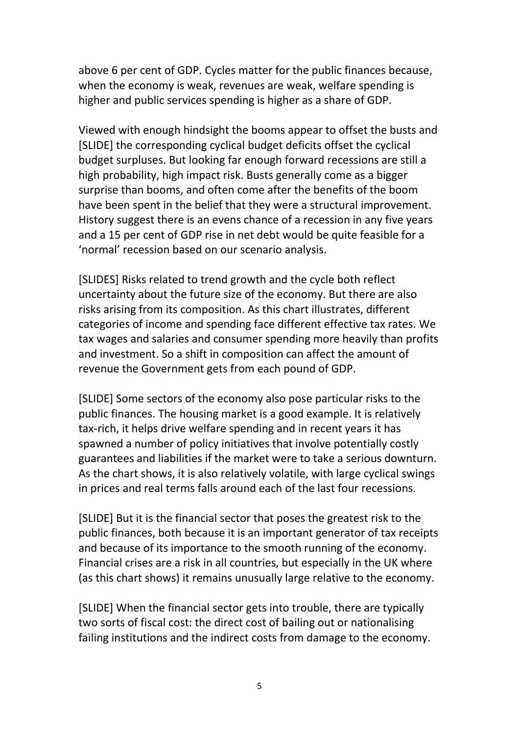above 6 per cent of GDP. Cycles matter for the public finances because, when the economy is weak, revenues are weak, welfare spending is higher and public services spending is higher as a share of GDP.

Viewed with enough hindsight the booms appear to offset the busts and [SLIDE] the corresponding cyclical budget deficits offset the cyclical budget surpluses. But looking far enough forward recessions are still a high probability, high impact risk. Busts generally come as a bigger surprise than booms, and often come after the benefits of the boom have been spent in the belief that they were a structural improvement. History suggest there is an evens chance of a recession in any five years and a 15 per cent of GDP rise in net debt would be quite feasible for a 'normal' recession based on our scenario analysis.

[SLIDES] Risks related to trend growth and the cycle both reflect uncertainty about the future size of the economy. But there are also risks arising from its composition. As this chart illustrates, different categories of income and spending face different effective tax rates. We tax wages and salaries and consumer spending more heavily than profits and investment. So a shift in composition can affect the amount of revenue the Government gets from each pound of GDP.

[SLIDE] Some sectors of the economy also pose particular risks to the public finances. The housing market is a good example. It is relatively tax-rich, it helps drive welfare spending and in recent years it has spawned a number of policy initiatives that involve potentially costly guarantees and liabilities if the market were to take a serious downturn. As the chart shows, it is also relatively volatile, with large cyclical swings in prices and real terms falls around each of the last four recessions.

[SLIDE] But it is the financial sector that poses the greatest risk to the public finances, both because it is an important generator of tax receipts and because of its importance to the smooth running of the economy. Financial crises are a risk in all countries, but especially in the UK where (as this chart shows) it remains unusually large relative to the economy.

[SLIDE] When the financial sector gets into trouble, there are typically two sorts of fiscal cost: the direct cost of bailing out or nationalising failing institutions and the indirect costs from damage to the economy.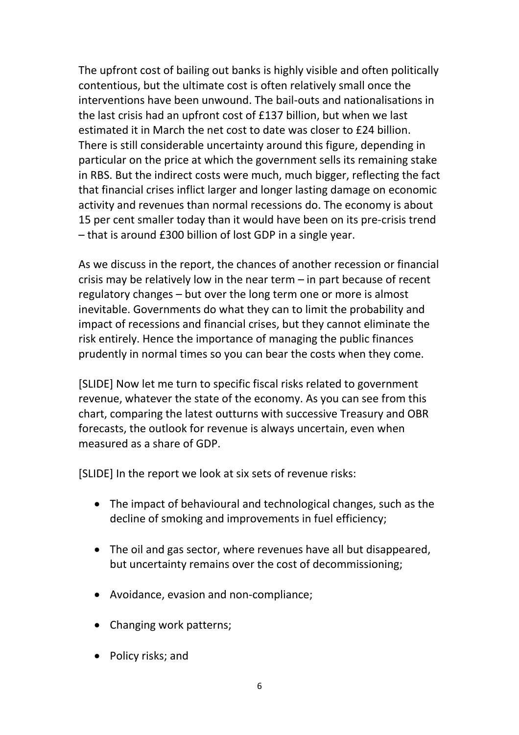The upfront cost of bailing out banks is highly visible and often politically contentious, but the ultimate cost is often relatively small once the interventions have been unwound. The bail-outs and nationalisations in the last crisis had an upfront cost of £137 billion, but when we last estimated it in March the net cost to date was closer to £24 billion. There is still considerable uncertainty around this figure, depending in particular on the price at which the government sells its remaining stake in RBS. But the indirect costs were much, much bigger, reflecting the fact that financial crises inflict larger and longer lasting damage on economic activity and revenues than normal recessions do. The economy is about 15 per cent smaller today than it would have been on its pre-crisis trend – that is around £300 billion of lost GDP in a single year.

As we discuss in the report, the chances of another recession or financial crisis may be relatively low in the near term – in part because of recent regulatory changes – but over the long term one or more is almost inevitable. Governments do what they can to limit the probability and impact of recessions and financial crises, but they cannot eliminate the risk entirely. Hence the importance of managing the public finances prudently in normal times so you can bear the costs when they come.

[SLIDE] Now let me turn to specific fiscal risks related to government revenue, whatever the state of the economy. As you can see from this chart, comparing the latest outturns with successive Treasury and OBR forecasts, the outlook for revenue is always uncertain, even when measured as a share of GDP.

[SLIDE] In the report we look at six sets of revenue risks:

- The impact of behavioural and technological changes, such as the decline of smoking and improvements in fuel efficiency;
- The oil and gas sector, where revenues have all but disappeared, but uncertainty remains over the cost of decommissioning;
- Avoidance, evasion and non-compliance;
- Changing work patterns;
- Policy risks; and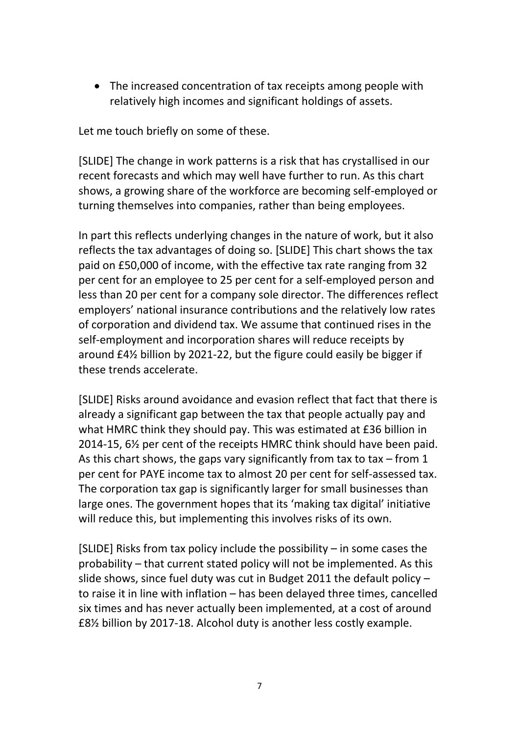• The increased concentration of tax receipts among people with relatively high incomes and significant holdings of assets.

Let me touch briefly on some of these.

[SLIDE] The change in work patterns is a risk that has crystallised in our recent forecasts and which may well have further to run. As this chart shows, a growing share of the workforce are becoming self-employed or turning themselves into companies, rather than being employees.

In part this reflects underlying changes in the nature of work, but it also reflects the tax advantages of doing so. [SLIDE] This chart shows the tax paid on £50,000 of income, with the effective tax rate ranging from 32 per cent for an employee to 25 per cent for a self-employed person and less than 20 per cent for a company sole director. The differences reflect employers' national insurance contributions and the relatively low rates of corporation and dividend tax. We assume that continued rises in the self-employment and incorporation shares will reduce receipts by around £4½ billion by 2021-22, but the figure could easily be bigger if these trends accelerate.

[SLIDE] Risks around avoidance and evasion reflect that fact that there is already a significant gap between the tax that people actually pay and what HMRC think they should pay. This was estimated at £36 billion in 2014-15, 6½ per cent of the receipts HMRC think should have been paid. As this chart shows, the gaps vary significantly from tax to tax  $-$  from 1 per cent for PAYE income tax to almost 20 per cent for self-assessed tax. The corporation tax gap is significantly larger for small businesses than large ones. The government hopes that its 'making tax digital' initiative will reduce this, but implementing this involves risks of its own.

[SLIDE] Risks from tax policy include the possibility – in some cases the probability – that current stated policy will not be implemented. As this slide shows, since fuel duty was cut in Budget 2011 the default policy – to raise it in line with inflation – has been delayed three times, cancelled six times and has never actually been implemented, at a cost of around £8½ billion by 2017-18. Alcohol duty is another less costly example.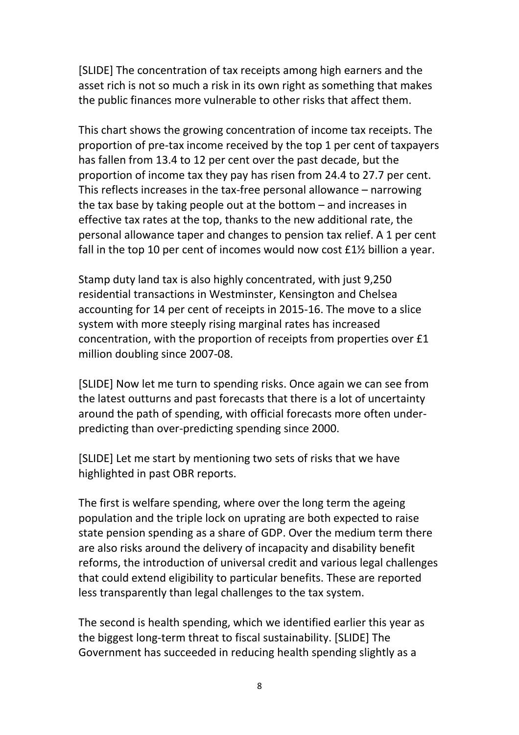[SLIDE] The concentration of tax receipts among high earners and the asset rich is not so much a risk in its own right as something that makes the public finances more vulnerable to other risks that affect them.

This chart shows the growing concentration of income tax receipts. The proportion of pre-tax income received by the top 1 per cent of taxpayers has fallen from 13.4 to 12 per cent over the past decade, but the proportion of income tax they pay has risen from 24.4 to 27.7 per cent. This reflects increases in the tax-free personal allowance – narrowing the tax base by taking people out at the bottom – and increases in effective tax rates at the top, thanks to the new additional rate, the personal allowance taper and changes to pension tax relief. A 1 per cent fall in the top 10 per cent of incomes would now cost £1½ billion a year.

Stamp duty land tax is also highly concentrated, with just 9,250 residential transactions in Westminster, Kensington and Chelsea accounting for 14 per cent of receipts in 2015-16. The move to a slice system with more steeply rising marginal rates has increased concentration, with the proportion of receipts from properties over £1 million doubling since 2007-08.

[SLIDE] Now let me turn to spending risks. Once again we can see from the latest outturns and past forecasts that there is a lot of uncertainty around the path of spending, with official forecasts more often underpredicting than over-predicting spending since 2000.

[SLIDE] Let me start by mentioning two sets of risks that we have highlighted in past OBR reports.

The first is welfare spending, where over the long term the ageing population and the triple lock on uprating are both expected to raise state pension spending as a share of GDP. Over the medium term there are also risks around the delivery of incapacity and disability benefit reforms, the introduction of universal credit and various legal challenges that could extend eligibility to particular benefits. These are reported less transparently than legal challenges to the tax system.

The second is health spending, which we identified earlier this year as the biggest long-term threat to fiscal sustainability. [SLIDE] The Government has succeeded in reducing health spending slightly as a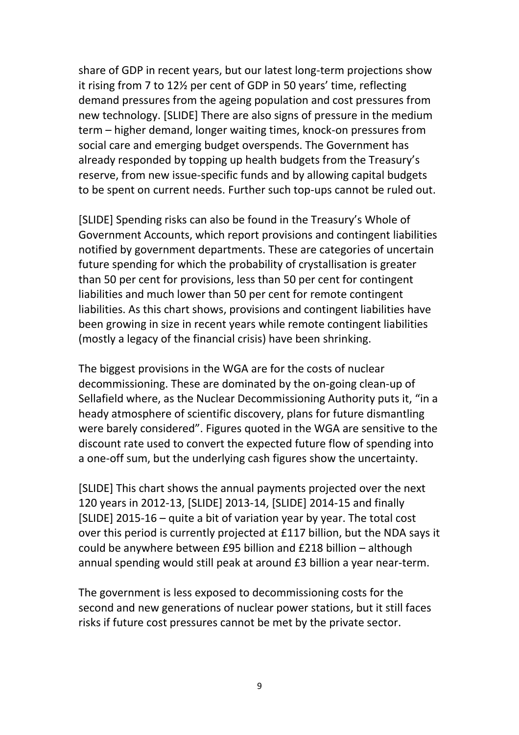share of GDP in recent years, but our latest long-term projections show it rising from 7 to 12½ per cent of GDP in 50 years' time, reflecting demand pressures from the ageing population and cost pressures from new technology. [SLIDE] There are also signs of pressure in the medium term – higher demand, longer waiting times, knock-on pressures from social care and emerging budget overspends. The Government has already responded by topping up health budgets from the Treasury's reserve, from new issue-specific funds and by allowing capital budgets to be spent on current needs. Further such top-ups cannot be ruled out.

[SLIDE] Spending risks can also be found in the Treasury's Whole of Government Accounts, which report provisions and contingent liabilities notified by government departments. These are categories of uncertain future spending for which the probability of crystallisation is greater than 50 per cent for provisions, less than 50 per cent for contingent liabilities and much lower than 50 per cent for remote contingent liabilities. As this chart shows, provisions and contingent liabilities have been growing in size in recent years while remote contingent liabilities (mostly a legacy of the financial crisis) have been shrinking.

The biggest provisions in the WGA are for the costs of nuclear decommissioning. These are dominated by the on-going clean-up of Sellafield where, as the Nuclear Decommissioning Authority puts it, "in a heady atmosphere of scientific discovery, plans for future dismantling were barely considered". Figures quoted in the WGA are sensitive to the discount rate used to convert the expected future flow of spending into a one-off sum, but the underlying cash figures show the uncertainty.

[SLIDE] This chart shows the annual payments projected over the next 120 years in 2012-13, [SLIDE] 2013-14, [SLIDE] 2014-15 and finally [SLIDE] 2015-16 – quite a bit of variation year by year. The total cost over this period is currently projected at £117 billion, but the NDA says it could be anywhere between £95 billion and £218 billion – although annual spending would still peak at around £3 billion a year near-term.

The government is less exposed to decommissioning costs for the second and new generations of nuclear power stations, but it still faces risks if future cost pressures cannot be met by the private sector.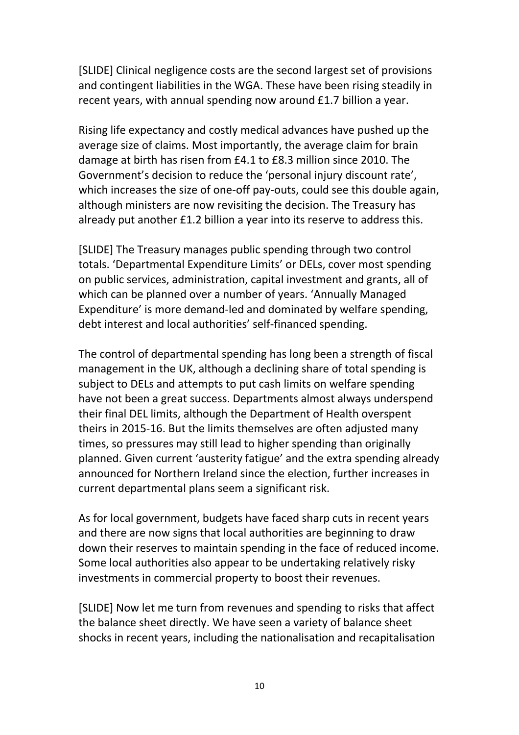[SLIDE] Clinical negligence costs are the second largest set of provisions and contingent liabilities in the WGA. These have been rising steadily in recent years, with annual spending now around £1.7 billion a year.

Rising life expectancy and costly medical advances have pushed up the average size of claims. Most importantly, the average claim for brain damage at birth has risen from £4.1 to £8.3 million since 2010. The Government's decision to reduce the 'personal injury discount rate', which increases the size of one-off pay-outs, could see this double again, although ministers are now revisiting the decision. The Treasury has already put another £1.2 billion a year into its reserve to address this.

[SLIDE] The Treasury manages public spending through two control totals. 'Departmental Expenditure Limits' or DELs, cover most spending on public services, administration, capital investment and grants, all of which can be planned over a number of years. 'Annually Managed Expenditure' is more demand-led and dominated by welfare spending, debt interest and local authorities' self-financed spending.

The control of departmental spending has long been a strength of fiscal management in the UK, although a declining share of total spending is subject to DELs and attempts to put cash limits on welfare spending have not been a great success. Departments almost always underspend their final DEL limits, although the Department of Health overspent theirs in 2015-16. But the limits themselves are often adjusted many times, so pressures may still lead to higher spending than originally planned. Given current 'austerity fatigue' and the extra spending already announced for Northern Ireland since the election, further increases in current departmental plans seem a significant risk.

As for local government, budgets have faced sharp cuts in recent years and there are now signs that local authorities are beginning to draw down their reserves to maintain spending in the face of reduced income. Some local authorities also appear to be undertaking relatively risky investments in commercial property to boost their revenues.

[SLIDE] Now let me turn from revenues and spending to risks that affect the balance sheet directly. We have seen a variety of balance sheet shocks in recent years, including the nationalisation and recapitalisation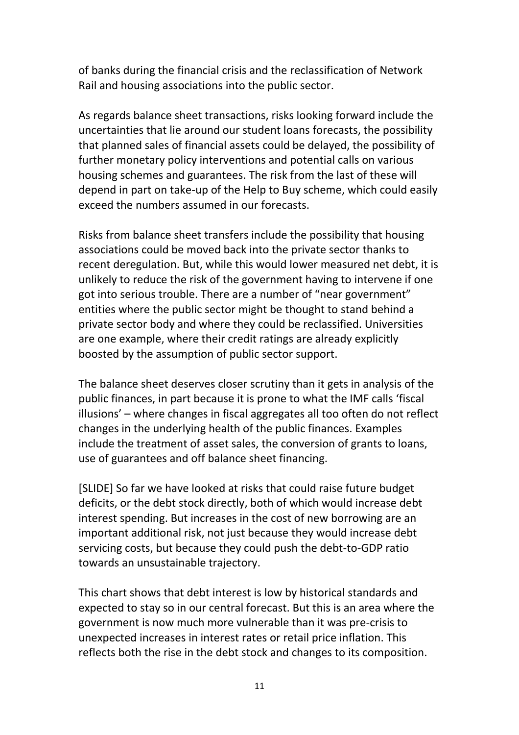of banks during the financial crisis and the reclassification of Network Rail and housing associations into the public sector.

As regards balance sheet transactions, risks looking forward include the uncertainties that lie around our student loans forecasts, the possibility that planned sales of financial assets could be delayed, the possibility of further monetary policy interventions and potential calls on various housing schemes and guarantees. The risk from the last of these will depend in part on take-up of the Help to Buy scheme, which could easily exceed the numbers assumed in our forecasts.

Risks from balance sheet transfers include the possibility that housing associations could be moved back into the private sector thanks to recent deregulation. But, while this would lower measured net debt, it is unlikely to reduce the risk of the government having to intervene if one got into serious trouble. There are a number of "near government" entities where the public sector might be thought to stand behind a private sector body and where they could be reclassified. Universities are one example, where their credit ratings are already explicitly boosted by the assumption of public sector support.

The balance sheet deserves closer scrutiny than it gets in analysis of the public finances, in part because it is prone to what the IMF calls 'fiscal illusions' – where changes in fiscal aggregates all too often do not reflect changes in the underlying health of the public finances. Examples include the treatment of asset sales, the conversion of grants to loans, use of guarantees and off balance sheet financing.

[SLIDE] So far we have looked at risks that could raise future budget deficits, or the debt stock directly, both of which would increase debt interest spending. But increases in the cost of new borrowing are an important additional risk, not just because they would increase debt servicing costs, but because they could push the debt-to-GDP ratio towards an unsustainable trajectory.

This chart shows that debt interest is low by historical standards and expected to stay so in our central forecast. But this is an area where the government is now much more vulnerable than it was pre-crisis to unexpected increases in interest rates or retail price inflation. This reflects both the rise in the debt stock and changes to its composition.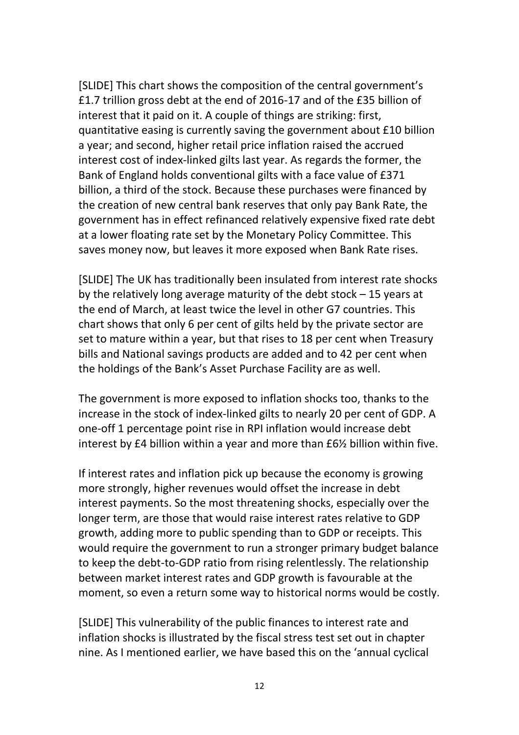[SLIDE] This chart shows the composition of the central government's £1.7 trillion gross debt at the end of 2016-17 and of the £35 billion of interest that it paid on it. A couple of things are striking: first, quantitative easing is currently saving the government about £10 billion a year; and second, higher retail price inflation raised the accrued interest cost of index-linked gilts last year. As regards the former, the Bank of England holds conventional gilts with a face value of £371 billion, a third of the stock. Because these purchases were financed by the creation of new central bank reserves that only pay Bank Rate, the government has in effect refinanced relatively expensive fixed rate debt at a lower floating rate set by the Monetary Policy Committee. This saves money now, but leaves it more exposed when Bank Rate rises.

[SLIDE] The UK has traditionally been insulated from interest rate shocks by the relatively long average maturity of the debt stock – 15 years at the end of March, at least twice the level in other G7 countries. This chart shows that only 6 per cent of gilts held by the private sector are set to mature within a year, but that rises to 18 per cent when Treasury bills and National savings products are added and to 42 per cent when the holdings of the Bank's Asset Purchase Facility are as well.

The government is more exposed to inflation shocks too, thanks to the increase in the stock of index-linked gilts to nearly 20 per cent of GDP. A one-off 1 percentage point rise in RPI inflation would increase debt interest by £4 billion within a year and more than £6½ billion within five.

If interest rates and inflation pick up because the economy is growing more strongly, higher revenues would offset the increase in debt interest payments. So the most threatening shocks, especially over the longer term, are those that would raise interest rates relative to GDP growth, adding more to public spending than to GDP or receipts. This would require the government to run a stronger primary budget balance to keep the debt-to-GDP ratio from rising relentlessly. The relationship between market interest rates and GDP growth is favourable at the moment, so even a return some way to historical norms would be costly.

[SLIDE] This vulnerability of the public finances to interest rate and inflation shocks is illustrated by the fiscal stress test set out in chapter nine. As I mentioned earlier, we have based this on the 'annual cyclical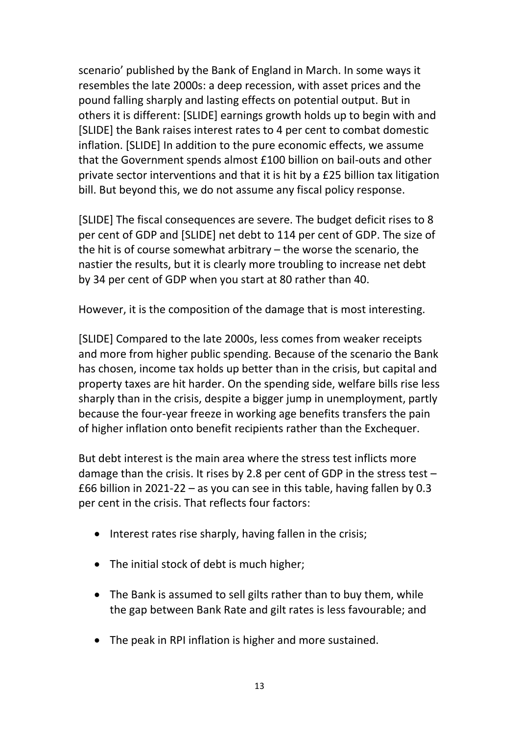scenario' published by the Bank of England in March. In some ways it resembles the late 2000s: a deep recession, with asset prices and the pound falling sharply and lasting effects on potential output. But in others it is different: [SLIDE] earnings growth holds up to begin with and [SLIDE] the Bank raises interest rates to 4 per cent to combat domestic inflation. [SLIDE] In addition to the pure economic effects, we assume that the Government spends almost £100 billion on bail-outs and other private sector interventions and that it is hit by a £25 billion tax litigation bill. But beyond this, we do not assume any fiscal policy response.

[SLIDE] The fiscal consequences are severe. The budget deficit rises to 8 per cent of GDP and [SLIDE] net debt to 114 per cent of GDP. The size of the hit is of course somewhat arbitrary – the worse the scenario, the nastier the results, but it is clearly more troubling to increase net debt by 34 per cent of GDP when you start at 80 rather than 40.

However, it is the composition of the damage that is most interesting.

[SLIDE] Compared to the late 2000s, less comes from weaker receipts and more from higher public spending. Because of the scenario the Bank has chosen, income tax holds up better than in the crisis, but capital and property taxes are hit harder. On the spending side, welfare bills rise less sharply than in the crisis, despite a bigger jump in unemployment, partly because the four-year freeze in working age benefits transfers the pain of higher inflation onto benefit recipients rather than the Exchequer.

But debt interest is the main area where the stress test inflicts more damage than the crisis. It rises by 2.8 per cent of GDP in the stress test – £66 billion in 2021-22 – as you can see in this table, having fallen by 0.3 per cent in the crisis. That reflects four factors:

- $\bullet$  Interest rates rise sharply, having fallen in the crisis;
- The initial stock of debt is much higher;
- The Bank is assumed to sell gilts rather than to buy them, while the gap between Bank Rate and gilt rates is less favourable; and
- The peak in RPI inflation is higher and more sustained.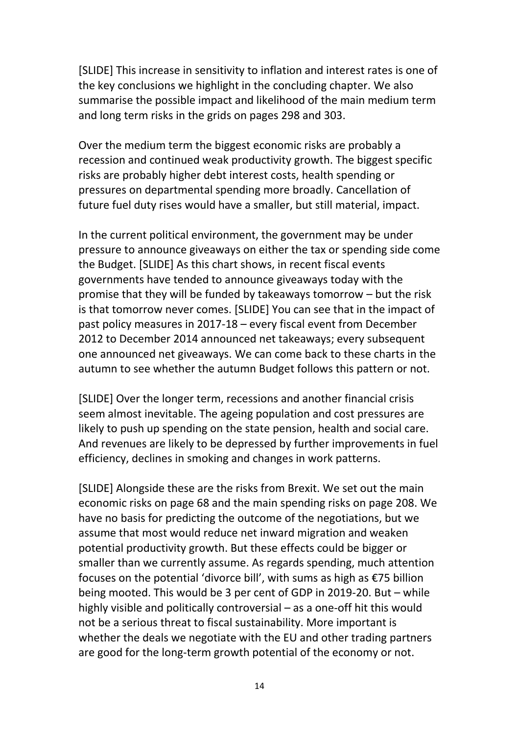[SLIDE] This increase in sensitivity to inflation and interest rates is one of the key conclusions we highlight in the concluding chapter. We also summarise the possible impact and likelihood of the main medium term and long term risks in the grids on pages 298 and 303.

Over the medium term the biggest economic risks are probably a recession and continued weak productivity growth. The biggest specific risks are probably higher debt interest costs, health spending or pressures on departmental spending more broadly. Cancellation of future fuel duty rises would have a smaller, but still material, impact.

In the current political environment, the government may be under pressure to announce giveaways on either the tax or spending side come the Budget. [SLIDE] As this chart shows, in recent fiscal events governments have tended to announce giveaways today with the promise that they will be funded by takeaways tomorrow – but the risk is that tomorrow never comes. [SLIDE] You can see that in the impact of past policy measures in 2017-18 – every fiscal event from December 2012 to December 2014 announced net takeaways; every subsequent one announced net giveaways. We can come back to these charts in the autumn to see whether the autumn Budget follows this pattern or not.

[SLIDE] Over the longer term, recessions and another financial crisis seem almost inevitable. The ageing population and cost pressures are likely to push up spending on the state pension, health and social care. And revenues are likely to be depressed by further improvements in fuel efficiency, declines in smoking and changes in work patterns.

[SLIDE] Alongside these are the risks from Brexit. We set out the main economic risks on page 68 and the main spending risks on page 208. We have no basis for predicting the outcome of the negotiations, but we assume that most would reduce net inward migration and weaken potential productivity growth. But these effects could be bigger or smaller than we currently assume. As regards spending, much attention focuses on the potential 'divorce bill', with sums as high as €75 billion being mooted. This would be 3 per cent of GDP in 2019-20. But – while highly visible and politically controversial – as a one-off hit this would not be a serious threat to fiscal sustainability. More important is whether the deals we negotiate with the EU and other trading partners are good for the long-term growth potential of the economy or not.